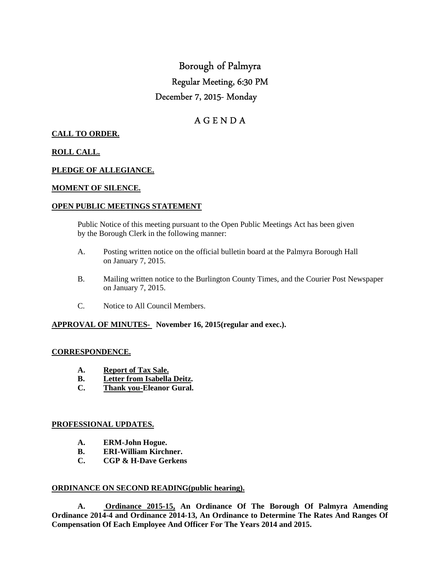# Borough of Palmyra Regular Meeting, 6:30 PM December 7, 2015- Monday

# A G E N D A

# **CALL TO ORDER.**

## **ROLL CALL.**

## **PLEDGE OF ALLEGIANCE.**

#### **MOMENT OF SILENCE.**

#### **OPEN PUBLIC MEETINGS STATEMENT**

 Public Notice of this meeting pursuant to the Open Public Meetings Act has been given by the Borough Clerk in the following manner:

- A. Posting written notice on the official bulletin board at the Palmyra Borough Hall on January 7, 2015.
- B. Mailing written notice to the Burlington County Times, and the Courier Post Newspaper on January 7, 2015.
- C. Notice to All Council Members.

#### **APPROVAL OF MINUTES- November 16, 2015(regular and exec.).**

#### **CORRESPONDENCE.**

- **A. Report of Tax Sale.**
- **B. Letter from Isabella Deitz.**
- **C. Thank you-Eleanor Gural.**

#### **PROFESSIONAL UPDATES.**

- **A. ERM-John Hogue.**
- **B. ERI-William Kirchner.**
- **C. CGP & H-Dave Gerkens**

#### **ORDINANCE ON SECOND READING(public hearing).**

 **A. Ordinance 2015-15, An Ordinance Of The Borough Of Palmyra Amending Ordinance 2014-4 and Ordinance 2014-13, An Ordinance to Determine The Rates And Ranges Of Compensation Of Each Employee And Officer For The Years 2014 and 2015.**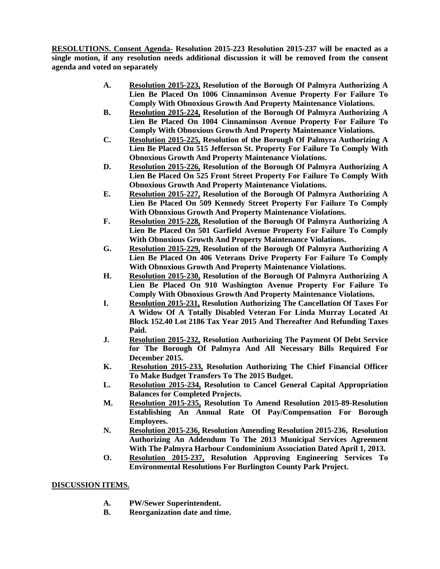**RESOLUTIONS. Consent Agenda- Resolution 2015-223 Resolution 2015-237 will be enacted as a single motion, if any resolution needs additional discussion it will be removed from the consent agenda and voted on separately** 

- **A. Resolution 2015-223, Resolution of the Borough Of Palmyra Authorizing A Lien Be Placed On 1006 Cinnaminson Avenue Property For Failure To Comply With Obnoxious Growth And Property Maintenance Violations.**
- **B. Resolution 2015-224, Resolution of the Borough Of Palmyra Authorizing A Lien Be Placed On 1004 Cinnaminson Avenue Property For Failure To Comply With Obnoxious Growth And Property Maintenance Violations.**
- **C. Resolution 2015-225, Resolution of the Borough Of Palmyra Authorizing A Lien Be Placed On 515 Jefferson St. Property For Failure To Comply With Obnoxious Growth And Property Maintenance Violations.**
- **D. Resolution 2015-226, Resolution of the Borough Of Palmyra Authorizing A Lien Be Placed On 525 Front Street Property For Failure To Comply With Obnoxious Growth And Property Maintenance Violations.**
- **E. Resolution 2015-227, Resolution of the Borough Of Palmyra Authorizing A Lien Be Placed On 509 Kennedy Street Property For Failure To Comply With Obnoxious Growth And Property Maintenance Violations.**
- **F. Resolution 2015-228, Resolution of the Borough Of Palmyra Authorizing A Lien Be Placed On 501 Garfield Avenue Property For Failure To Comply With Obnoxious Growth And Property Maintenance Violations.**
- **G. Resolution 2015-229, Resolution of the Borough Of Palmyra Authorizing A Lien Be Placed On 406 Veterans Drive Property For Failure To Comply With Obnoxious Growth And Property Maintenance Violations.**
- **H. Resolution 2015-230, Resolution of the Borough Of Palmyra Authorizing A Lien Be Placed On 910 Washington Avenue Property For Failure To Comply With Obnoxious Growth And Property Maintenance Violations.**
- **I. Resolution 2015-231, Resolution Authorizing The Cancellation Of Taxes For A Widow Of A Totally Disabled Veteran For Linda Murray Located At Block 152.40 Lot 2186 Tax Year 2015 And Thereafter And Refunding Taxes Paid.**
- **J. Resolution 2015-232, Resolution Authorizing The Payment Of Debt Service for The Borough Of Palmyra And All Necessary Bills Required For December 2015.**
- **K. Resolution 2015-233, Resolution Authorizing The Chief Financial Officer To Make Budget Transfers To The 2015 Budget.**
- **L. Resolution 2015-234, Resolution to Cancel General Capital Appropriation Balances for Completed Projects.**
- **M. Resolution 2015-235, Resolution To Amend Resolution 2015-89-Resolution Establishing An Annual Rate Of Pay/Compensation For Borough Employees.**
- **N. Resolution 2015-236, Resolution Amending Resolution 2015-236, Resolution Authorizing An Addendum To The 2013 Municipal Services Agreement With The Palmyra Harbour Condominium Association Dated April 1, 2013.**
- **O. Resolution 2015-237, Resolution Approving Engineering Services To Environmental Resolutions For Burlington County Park Project.**

#### **DISCUSSION ITEMS.**

- **A. PW/Sewer Superintendent.**
- **B. Reorganization date and time.**